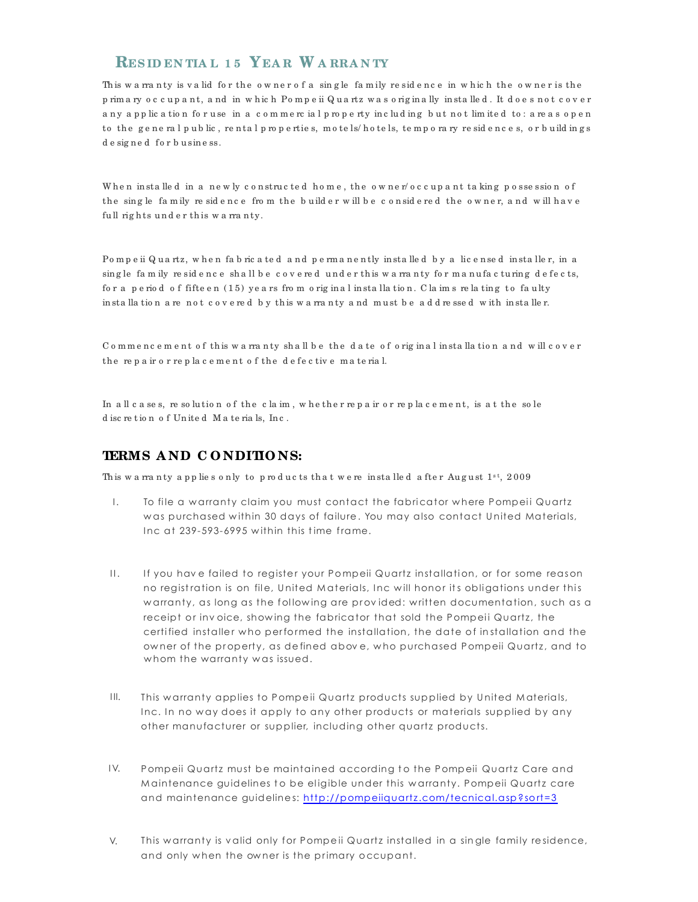## **RES ID EN TIA L 1 5 YEA R W A RRA N TY**

This wa rranty is valid for the owner of a single family residence in which the owner is the p rim a ry o c c u p a n t, a nd in w h ic h Po m p e ii Q u a rtz w a s o rig in a lly in sta lle d . It d o e s n o t c o v e r any app lic a tion for use in a commercial property including but not limited to: areas open to the general public, rental properties, motels/hotels, temporary residences, or buildings de signed for business.

When in stalled in a newly constructed home, the owner/occupant taking possession of the sing le fa m ily re sidence from the build er w ill be considered the owner, and will have full rights under this warranty.

Pompeii Quartz, when fabric a ted and permanently installed by a licensed installer, in a sing le fam ily residence shall be covered under this warranty for manufacturing defects, for a period of fifteen (15) years from original installation. Claims relating to faulty in stalla tion a re not covered by this warranty and must be addressed with installer.

Commencement of this warranty shall be the date of original installation and will cover the repair or replacement of the defective material.

In all cases, resolution of the claim, whe ther repair or replacement, is at the sole d isc re t io n o f Un ite d M a te ria ls, In c .

### **TERMS A ND C O NDITIO NS:**

This wa rranty applies only to products that we reinstalled after August  $1^{st}$ , 2009

- To file a warranty claim you must contact the fabricator where Pompeii Quartz was purchased within 30 days of failure. You may also contact United Materials, Inc at  $239$ -593-6995 within this time frame. I.
- Ĭ  $\overline{\phantom{a}}$ If you have failed to register your Pompeii Quartz installation, or for some reason no registration is on file, United Materials, Inc will honor its obligations under this w arranty, as long as the following are provided: written documentation, such as a receipt or inv oice, showing the fabricator that sold the Pompeii Quartz, the certified installer who performed the installation, the date of installation and the owner of the property, as defined above, who purchased Pompeii Quartz, and to  $\mathbf{II}$ . whom the warranty was issued.
- This warranty applies to Pompeii Quartz products supplied by United Materials, Inc. In no way does it apply to any other products or materials supplied by any other manufacturer or supplier, including other quartz products. I II.
- and maintenance guidelines: http://pompeiiquartz.com/tecnical.asp?sort=3 Pompeii Quartz must be maintained according to the Pompeii Quartz Care and Maintenance guidelines to be eligible under this warranty. Pompeii Quartz care I V.
- This warranty is valid only for Pompeii Quartz installed in a single family residence, and only when the owner is the primary occupant. V.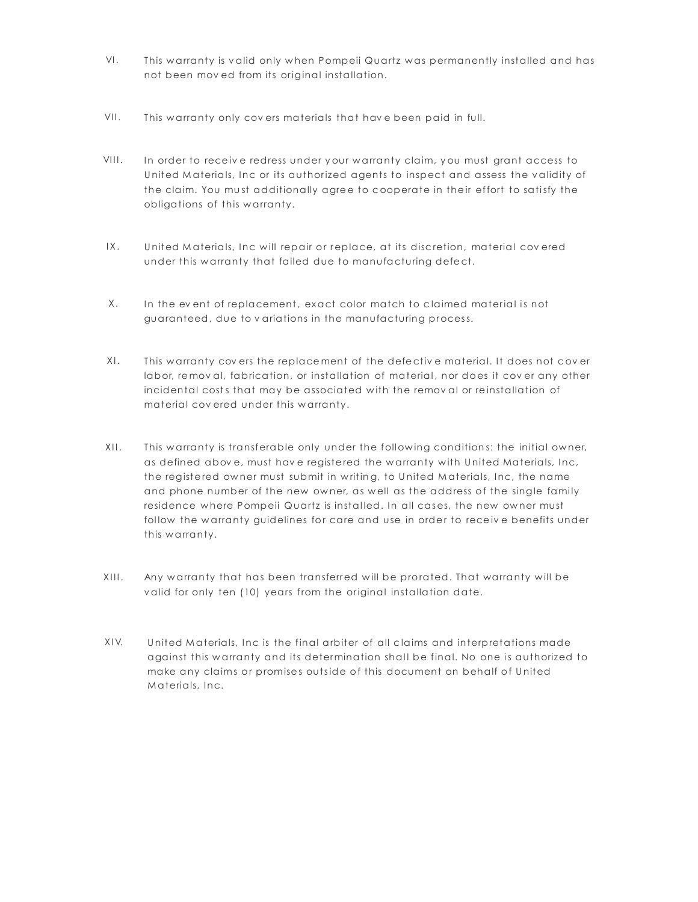- This warranty is valid only when Pompeii Quartz was permanently installed and has not been mov ed from its original installation. VI.
- This warranty only covers materials that have been paid in full.  $VII.$
- the claim. You must additionally agree to cooperate in their effort to satisfy the In order to receive redress under your warranty claim, you must grant access to obligations of this w arranty. United Materials, Inc or its authorized agents to inspect and assess the validity of  $VIII.$
- United Materials, Inc will repair or replace, at its discretion, material covered under this warranty that failed due to manufacturing defect.  $IX.$
- In the event of replacement, exact color match to claimed material is not guaranteed, due to v ariations in the manufacturing process. X.
- incidental costs that may be associated with the removal or reinstallation of This warranty covers the replacement of the defective material. It does not cover labor, removal, fabrication, or installation of material, nor does it cover any other material covered under this warranty.  $X \cup$
- This warranty is transferable only under the following conditions: the initial owner, as defined above, must have registered the warranty with United Materials, Inc, the registered owner must submit in writing, to United Materials, Inc, the name and phone number of the new owner, as well as the address of the single family residence where Pompeii Quartz is installed. In all cases, the new owner must follow the warranty guidelines for care and use in order to receive benefits under this warranty.  $XII.$
- Any warranty that has been transferred will be prorated. That warranty will be valid for only ten (10) years from the original installation date.  $XIII.$
- make any claims or promises outside of this document on behalf of United United Materials, Inc is the final arbiter of all claims and interpretations made against this warranty and its determination shall be final. No one is authorized to Materials, Inc. X I V.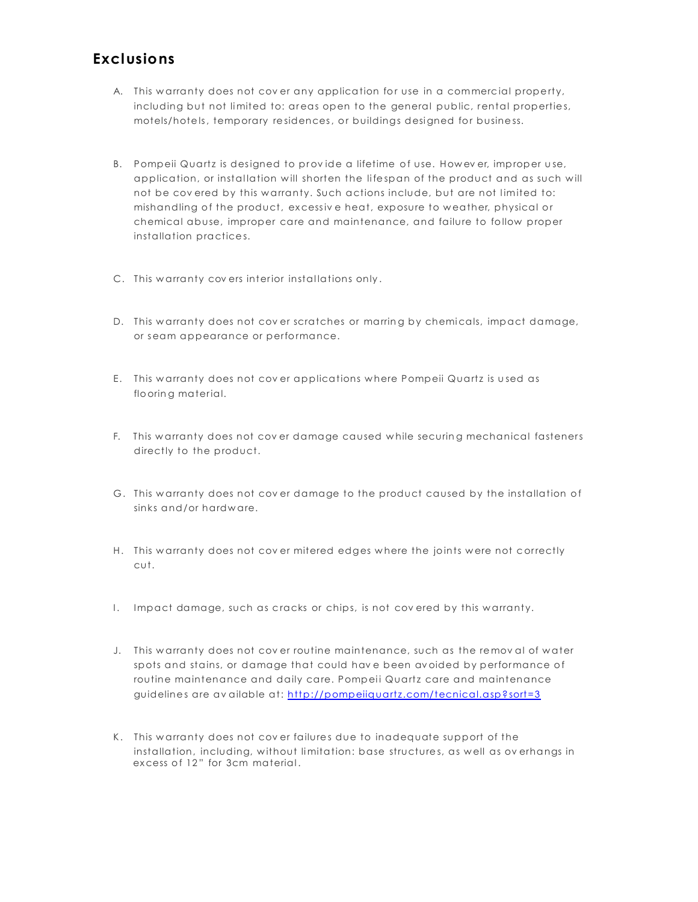# **Exclusio ns**

- A. This warranty does not cover any application for use in a commercial property, including but not limited to: areas open to the general public, rental properties, motels/hotels, temporary residences, or buildings designed for business.
- B. Pompeii Quartz is designed to provide a lifetime of use. However, improper use, application, or installation will shorten the lifespan of the product and as such will not be covered by this warranty. Such actions include, but are not limited to: mishandling of the product, excessive heat, exposure to weather, physical or chemical abuse, improper care and maintenance, and failure to follow proper installation practices.
- C. This warranty covers interior installations only.
- D. This warranty does not cover scratches or marring by chemicals, impact damage, or seam appearance or performance.
- E. This warranty does not cover applications where Pompeii Quartz is used as flooring material.
- F. This warranty does not cover damage caused while securing mechanical fasteners directly to the product.
- G. This warranty does not cover damage to the product caused by the installation of sinks and/or hardware.
- H. This warranty does not cover mitered edges where the joints were not correctly cut.
- I. Impact damage, such as cracks or chips, is not covered by this warranty.
- routine maintenance and daily care. Pompeii Quartz care and maintenance J. This warranty does not cover routine maintenance, such as the removal of water spots and stains, or damage that could have been avoided by performance of guidelines are av ailable at: http://pompeiiquartz.com/tecnical.asp?sort=3
- K. This warranty does not cover failures due to inadequate support of the installation, including, without limitation: base structures, as well as ov erhangs in excess of 12" for 3cm material.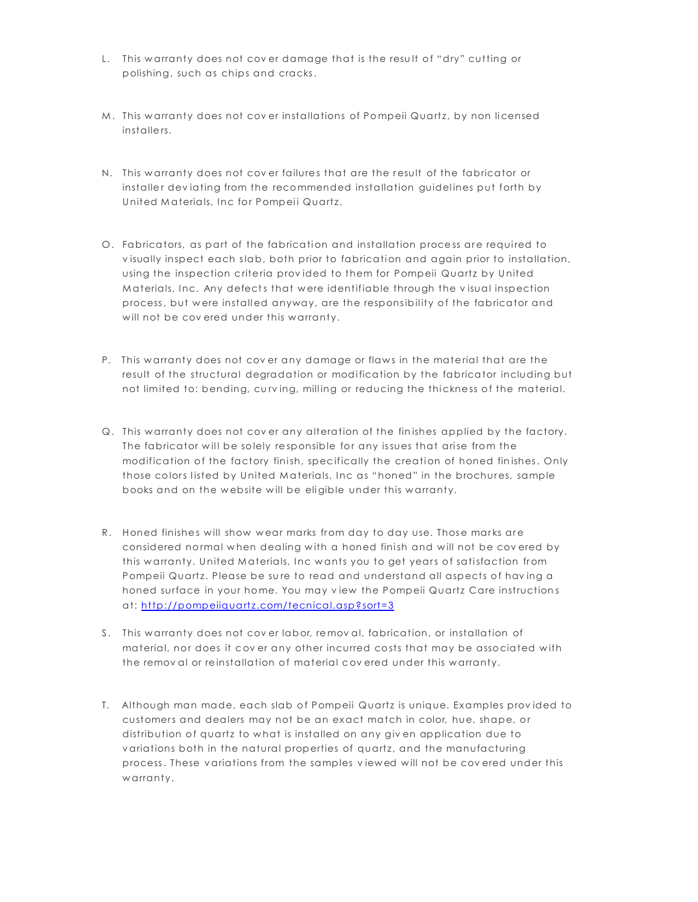- L. This warranty does not cover damage that is the result of "dry" cutting or polishing, such as chips and cracks.
- M. This warranty does not cover installations of Pompeii Quartz, by non licensed in stalle rs.
- N. This warranty does not cover failures that are the result of the fabricator or installer deviating from the recommended installation guidelines put forth by United Materials, Inc for Pompeii Quartz.
- Materials, Inc. Any defects that were identifiable through the visual inspection O. Fabricators, as part of the fabrication and installation process are required to visually inspect each slab, both prior to fabrication and again prior to installation, using the inspection criteria provided to them for Pompeii Quartz by United process, but were installed anyway, are the responsibility of the fabricator and will not be covered under this warranty.
- P. This warranty does not cover any damage or flaws in the material that are the result of the structural degradation or modification by the fabricator including but not limited to: bending, curving, milling or reducing the thickness of the material.
- those colors listed by United Materials, Inc as "honed" in the brochures, sample books and on the website will be eligible under this warranty. Q. This warranty does not cover any alteration of the finishes applied by the factory. The fabricator will be solely responsible for any issues that arise from the modification of the factory finish, specifically the creation of honed finishes. Only
- honed surface in your home. You may view the Pompeii Quartz Care instructions at: http://pompeiiquartz.com/tecnical.asp?sort=3 R. Honed finishes will show wear marks from day to day use. Those marks are considered normal when dealing with a honed finish and will not be covered by this warranty. United Materials, Inc wants you to get years of satisfaction from Pompeii Quartz. Please be sure to read and understand all aspects of having a
- S. This w arranty does not cov er labor, remov al, fabrication, or installation of material, nor does it cover any other incurred costs that may be associated with the removal or reinstallation of material covered under this warranty.
- T. Although man made, each slab of Pompeii Quartz is unique. Examples provided to customers and dealers may not be an exact match in color, hue, shape, or distribution of quartz to what is installed on any given application due to variations both in the natural properties of quartz, and the manufacturing process. These variations from the samples viewed will not be covered under this w arranty.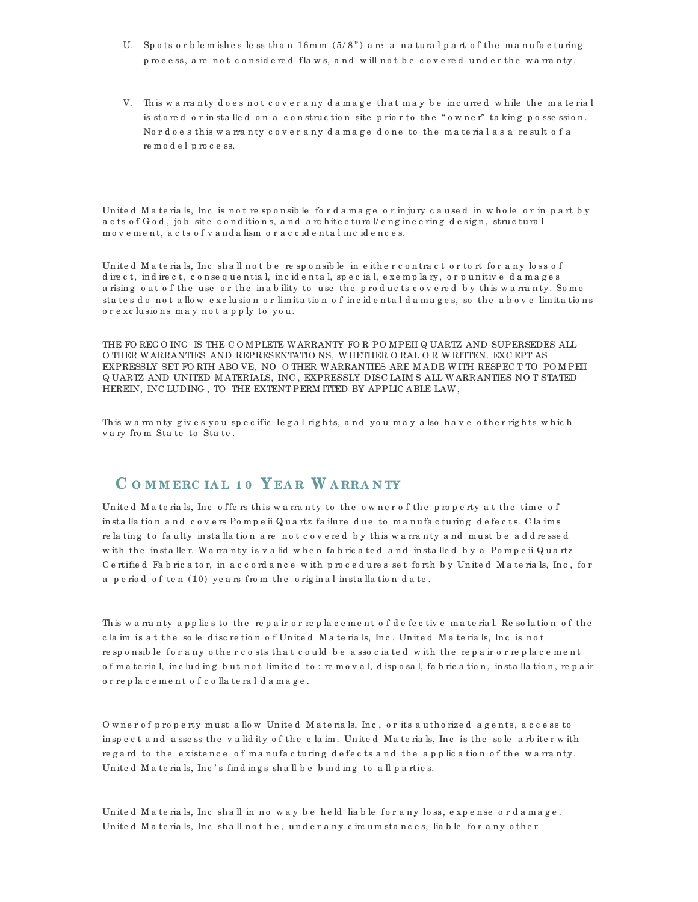- U. Sp o ts or b le m ishes le ss than  $16$ mm  $(5/8)$  are a natural part of the manufacturing p rocess, a re not considered flaws, and will not be covered under the warranty.
- V. This wa rranty does not cover any damage that may be incurred while the material is stored or in stalled on a construction site prior to the "owner" taking possession. Nordoes this warranty cover any damage done to the material as a result of a re m o d e l p ro c e ss.

United Materials, Inc is not responsible for damage or injury caused in whole or in part by acts of  $G$  od, job site conditions, and architectural/engineering design, structural m o v e m e n t, a c ts o f v a n d a lism o r a c c id e n ta l in c id e n c e s.

United Materials, Inc shall not be responsible in either contract or tort for any loss of d ire c t, in d ire c t, c o n se q u e n tia l, in c id e n ta l, sp e c ia l, e xe m p la ry, o r p u n itiv e d a m a g e s a rising out of the use or the inability to use the products covered by this warranty. Some sta te s do not a llow exc lu sion or limita tion of incidental damages, so the above limita tions o r e xc lu sio n s m a y n o t a p p ly to yo u .

THE FO REG O ING IS THE C O MPLETE W ARRANTY FO R PO MPEII Q UARTZ AND SUPERSEDES ALL O THER W ARRANTIES AND REPRESENTATIO NS, W HETHER O RAL O R W RITTEN. EXC EPT AS EXPRESSLY SET FO RTH ABO VE, NO O THER W ARRANTIES ARE M A DE W ITH RESPEC T TO PO M PEII Q UARTZ AND UNITED M ATERIALS, INC , EXPRESSLY DISC LAIM S ALL W ARRANTIES NO T STATED HEREIN, INC LUDING , TO THE EXTENT PERM ITTED BY APPLIC A BLE LAW ,

This wa rranty gives you specific legal rights, and you may also have other rights which v a ry fro m Sta te to Sta te .

### **C O M M ERC IA L 1 0 Y EA R W A RRA N TY**

United Materials, Inc offers this warranty to the owner of the property at the time of in sta lla tion and covers Pompeii Quartz failure due to manufacturing defects. Claims re la ting to faulty installation are not covered by this warranty and must be addressed w ith the installer. Warranty is valid when fabricated and installed by a Pompeii Quartz C e rtifie d Fa b ric a to r, in a c c o rd a n c e w ith p ro c e d u re s se t fo rth b y Un ite d M a te ria ls, In c , fo r a p e riod of ten (10) years from the original installation date.

This wa rranty applies to the repair or replacement of defective material. Resolution of the c la im is a t the so le discretion of United Materials, Inc. United Materials, Inc is not re sponsible for a ny other costs that could be associated with the repair or replacement o f mate rial, including but not limited to: re moval, disposal, fabrication, installation, repair o r re p la c e m e n t o f c o lla te ra l d a m a g e .

O wner of property must a llow United Materials, Inc, or its authorized agents, access to in spect and assess the validity of the claim. United Materials, Inc is the sole arbiter with regard to the existence of manufacturing defects and the application of the warranty. United Materials, Inc's findings shall be binding to all parties.

United Materials, Inc shall in no way be held liable for any loss, expense or damage. United Materials, Inc shall not be, under a ny circum stances, liable for a ny other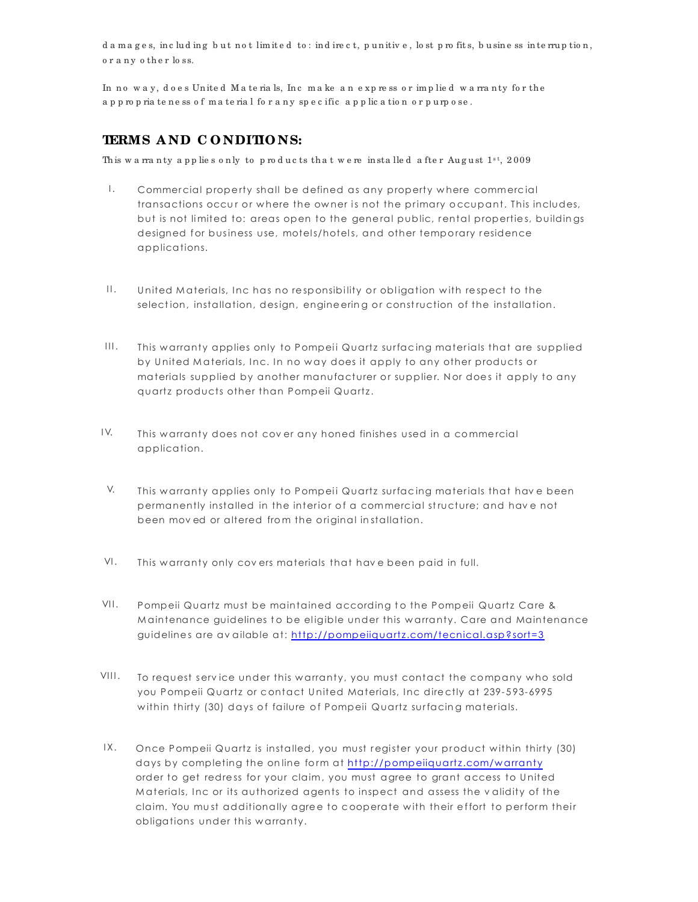damages, including but not limited to: indirect, punitive, lost profits, business interruption, or a ny other loss.

In no way, does United Materials, Inc make an express or implied warranty for the a p p ro p ria te ness of mate rial for a ny specific a p p lication or purpose.

### **TERMS A ND C O NDITIO NS:**

This wa rranty applies only to products that we reinstalled after August  $1^{st}$ , 2009

- Commercial property shall be defined as any property where commercial transactions occur or where the owner is not the primary occupant. This includes, but is not limited to: areas open to the general public, rental properties, buildings designed for business use, motels/hotels, and other temporary residence applications. I.
- United Materials, Inc has no responsibility or obligation with respect to the selection, installation, design, engine ering or construction of the installation.  $\prod_{i=1}^n$
- This warranty applies only to Pompeii Quartz surfacing materials that are supplied by United Materials, Inc. In no way does it apply to any other products or materials supplied by another manufacturer or supplier. Nor does it apply to any quartz products other than Pompeii Quartz.  $III.$
- This warranty does not cover any honed finishes used in a commercial application. I V.
- This warranty applies only to Pompeii Quartz surfacing materials that have been permanently installed in the interior of a commercial structure; and have not been moved or altered from the original installation. V.
- This warranty only covers materials that have been paid in full. VI.
- Pompeii Quartz must be maintained according to the Pompeii Quartz Care & Maintenance guidelines to be eligible under this warranty. Care and Maintenance guidelines are av ailable at: http://pompeiiquartz.com/tecnical.asp?sort=3  $VII.$
- within thirty (30) days of failure of Pompeii Quartz surfacing materials. To request service under this warranty, you must contact the company who sold you Pompeii Quartz or contact United Materials, Inc directly at 239-593-6995  $VIII.$
- order to get redress for your claim, you must agree to grant access to United Once Pompeii Quartz is installed, you must register your product within thirty (30) days by completing the online form at http://pompeiiquartz.com/warranty Materials, Inc or its authorized agents to inspect and assess the validity of the claim. You must additionally agree to cooperate with their effort to perform their obligations under this warranty.  $IX.$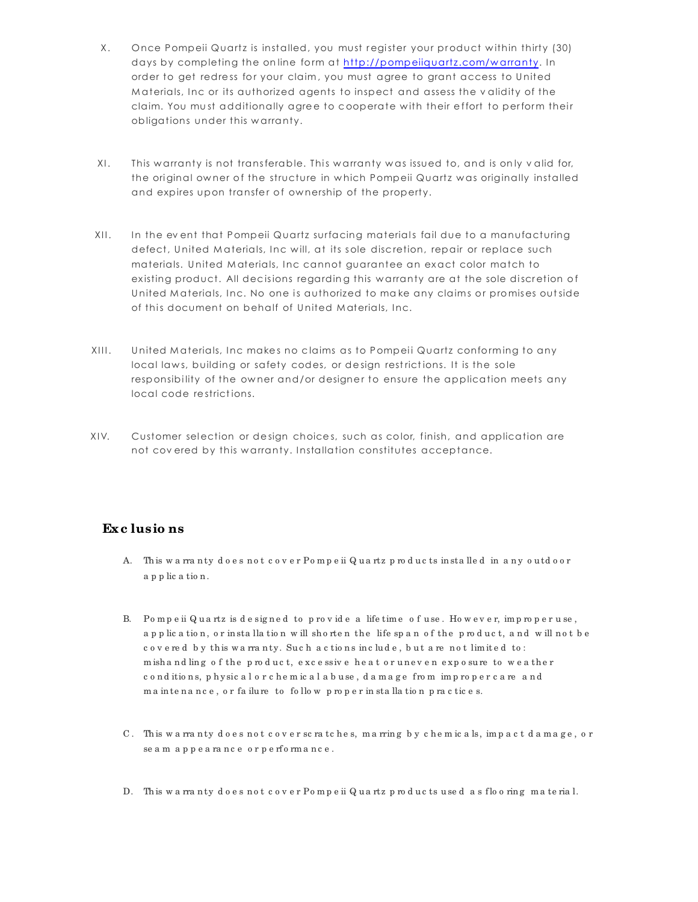- X. Once Pompeii Quartz is installed, you must register your product within thirty (30) claim. You must additionally agree to cooperate with their effort to perform their obligations under this warranty. days by completing the online form at http://pompeiiquartz.com/warranty. In order to get redress for your claim, you must agree to grant access to United Materials, Inc or its authorized agents to inspect and assess the validity of the
- XI. This warranty is not transferable. This warranty was issued to, and is only valid for, the original owner of the structure in which Pompeii Quartz was originally installed and expires upon transfer of ownership of the property.
- XII. In the event that Pompeii Quartz surfacing materials fail due to a manufacturing United Materials, Inc. No one is authorized to make any claims or promises outside defect, United Materials, Inc will, at its sole discretion, repair or replace such materials. United Materials, Inc cannot guarantee an exact color match to existing product. All decisions regarding this warranty are at the sole discretion of of this document on behalf of United Materials, Inc.
- XIII. United Materials, Inc makes no claims as to Pompeii Quartz conforming to any local laws, building or safety codes, or design restrictions. It is the sole responsibility of the owner and/or designer to ensure the application meets any local code restrictions.
- XIV. Customer selection or design choices, such as color, finish, and application are not cov ered by this warranty. Installation constitutes acceptance.

### **Exc lusio ns**

- A. This warranty does not cover Pompeii Quartz products installed in any outdoor a p p lic a tio n .
- B. Pompeii Quartz is designed to provide a life time of use. However, improper use, a p p lic a tion, or in sta lla tion w ill shorten the life span of the product, and will not be c o v e re d b y this wa rranty. Such a c tions include, but a renot limited to: m ishand ling of the product, excessive heat or uneven exposure to weather c o n d itio n s, p h y sic a l o r c h e m ic a l a b u se, d a m a g e fro m impropercare and m a intenance, or failure to follow proper in stallation practices.
- C. This warranty does not cover scratches, marring by chemicals, impact damage, or se a m a p p e a rance or p e rformance.
- D. This wa rranty does not cover Pompeii Quartz products used as flooring material.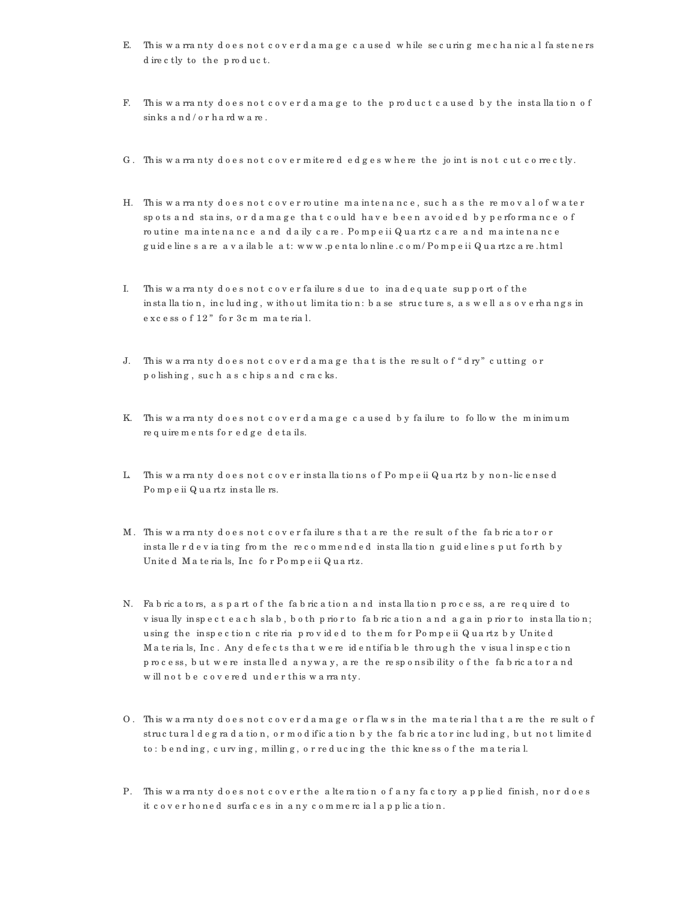- E. This wa rranty does not cover damage caused while securing mechanical fasteners d ire c tly to the product.
- F. This wa rranty does not cover damage to the product caused by the installation of sinks and/orhard ware.
- G. This wa rranty does not cover mitered edges where the joint is not cut correctly.
- H. This warranty does not cover routine maintenance, such as the removal of water spots and stains, or damage that could have been avoided by performance of ro u tine ma intenance and daily care. Pompeii Quartz care and maintenance g u id e lin e s a re a v a ila b le a t: w w w .p e n ta lo n lin e .c o m / Po m p e ii Q u a rtzc a re .h tm l
- I. This wa rranty does not cover failures due to inadequate support of the in sta lla tion, including, without limitation: base structures, as well as overhangs in e xc e ss o f 12 " fo r 3c m m a te ria l.
- J. This warranty does not cover damage that is the result of "dry" cutting or p o lish in g , su c h a s c h ip s a n d c ra c ks.
- K. This warranty does not cover damage caused by failure to follow the minimum re quire ments for edge details.
- L. This wa rranty does not cover in stallations of Pompeii Quartz by non-licensed Po m p e ii Q u a rtz in sta lle rs.
- M. This wa rranty does not cover failures that are the result of the fabricator or in stallerd eviating from the recommended in stallation guidelines put forth by United Materials, Inc for Pompeii Quartz.
- N. Fa b ric a to rs, as p a rt of the fab ric a tion and installation p rocess, are required to v isua lly in sp e c t e a c h sla b , b o th p rio r to fa b ric a tio n a n d a g a in p rio r to in sta lla tio n ; using the inspection criteria provided to them for Pompeii Quartz by United M a te ria ls, Inc. Any defects that we reidentifiable through the visual inspection p rocess, but we re in stalled anyway, are the responsibility of the fabric ator and w ill not be covered under this warranty.
- O. This warranty does not cover damage or flaws in the material that are the result of struc tural d e g radation, or m od ific ation by the fabric ator including, but not limited to : b e nd ing, c urv ing, milling, or reducing the thic kness of the material.
- P. This wa rranty does not cover the alteration of any factory applied finish, nor does it cover honed surfaces in any commercial application.